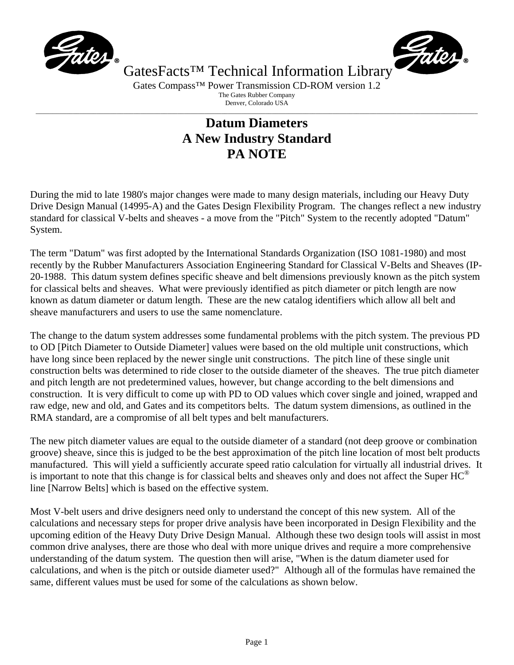



GatesFacts<sup>™</sup> Technical Information Library Gates Compass<sup>™</sup> Power Transmission CD-ROM version 1.2

The Gates Rubber Company

Denver, Colorado USA  $\_$  , and the set of the set of the set of the set of the set of the set of the set of the set of the set of the set of the set of the set of the set of the set of the set of the set of the set of the set of the set of th

## **Datum Diameters A New Industry Standard PA NOTE**

During the mid to late 1980's major changes were made to many design materials, including our Heavy Duty Drive Design Manual (14995-A) and the Gates Design Flexibility Program. The changes reflect a new industry standard for classical V-belts and sheaves - a move from the "Pitch" System to the recently adopted "Datum" System.

The term "Datum" was first adopted by the International Standards Organization (ISO 1081-1980) and most recently by the Rubber Manufacturers Association Engineering Standard for Classical V-Belts and Sheaves (IP-20-1988. This datum system defines specific sheave and belt dimensions previously known as the pitch system for classical belts and sheaves. What were previously identified as pitch diameter or pitch length are now known as datum diameter or datum length. These are the new catalog identifiers which allow all belt and sheave manufacturers and users to use the same nomenclature.

The change to the datum system addresses some fundamental problems with the pitch system. The previous PD to OD [Pitch Diameter to Outside Diameter] values were based on the old multiple unit constructions, which have long since been replaced by the newer single unit constructions. The pitch line of these single unit construction belts was determined to ride closer to the outside diameter of the sheaves. The true pitch diameter and pitch length are not predetermined values, however, but change according to the belt dimensions and construction. It is very difficult to come up with PD to OD values which cover single and joined, wrapped and raw edge, new and old, and Gates and its competitors belts. The datum system dimensions, as outlined in the RMA standard, are a compromise of all belt types and belt manufacturers.

The new pitch diameter values are equal to the outside diameter of a standard (not deep groove or combination groove) sheave, since this is judged to be the best approximation of the pitch line location of most belt products manufactured. This will yield a sufficiently accurate speed ratio calculation for virtually all industrial drives. It is important to note that this change is for classical belts and sheaves only and does not affect the Super  $HC^{\circledast}$ line [Narrow Belts] which is based on the effective system.

Most V-belt users and drive designers need only to understand the concept of this new system. All of the calculations and necessary steps for proper drive analysis have been incorporated in Design Flexibility and the upcoming edition of the Heavy Duty Drive Design Manual. Although these two design tools will assist in most common drive analyses, there are those who deal with more unique drives and require a more comprehensive understanding of the datum system. The question then will arise, "When is the datum diameter used for calculations, and when is the pitch or outside diameter used?" Although all of the formulas have remained the same, different values must be used for some of the calculations as shown below.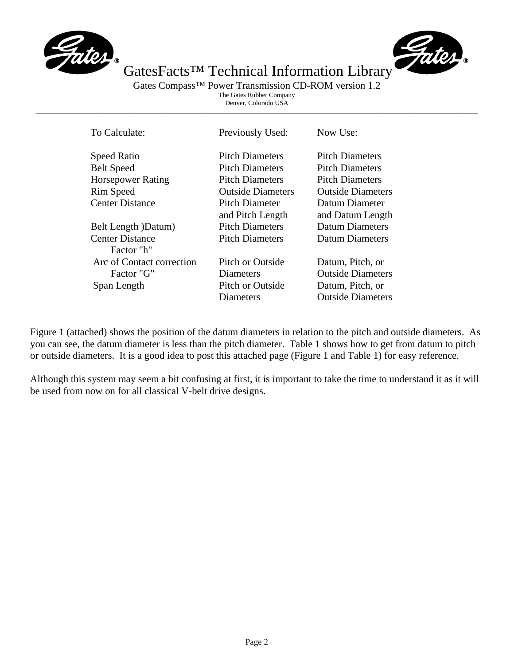



GatesFacts<sup>™</sup> Technical Information Library Gates Compass<sup>™</sup> Power Transmission CD-ROM version 1.2

The Gates Rubber Company Denver, Colorado USA  $\_$  , and the set of the set of the set of the set of the set of the set of the set of the set of the set of the set of the set of the set of the set of the set of the set of the set of the set of the set of the set of th

| To Calculate:             | Previously Used:         | Now Use:                 |
|---------------------------|--------------------------|--------------------------|
| <b>Speed Ratio</b>        | <b>Pitch Diameters</b>   | <b>Pitch Diameters</b>   |
| <b>Belt Speed</b>         | <b>Pitch Diameters</b>   | <b>Pitch Diameters</b>   |
| <b>Horsepower Rating</b>  | <b>Pitch Diameters</b>   | <b>Pitch Diameters</b>   |
| <b>Rim Speed</b>          | <b>Outside Diameters</b> | <b>Outside Diameters</b> |
| <b>Center Distance</b>    | Pitch Diameter           | Datum Diameter           |
|                           | and Pitch Length         | and Datum Length         |
| Belt Length )Datum)       | <b>Pitch Diameters</b>   | Datum Diameters          |
| <b>Center Distance</b>    | <b>Pitch Diameters</b>   | Datum Diameters          |
| Factor "h"                |                          |                          |
| Arc of Contact correction | Pitch or Outside         | Datum, Pitch, or         |
| Factor "G"                | Diameters                | <b>Outside Diameters</b> |
| Span Length               | Pitch or Outside         | Datum, Pitch, or         |
|                           | Diameters                | <b>Outside Diameters</b> |

Figure 1 (attached) shows the position of the datum diameters in relation to the pitch and outside diameters. As you can see, the datum diameter is less than the pitch diameter. Table 1 shows how to get from datum to pitch or outside diameters. It is a good idea to post this attached page (Figure 1 and Table 1) for easy reference.

Although this system may seem a bit confusing at first, it is important to take the time to understand it as it will be used from now on for all classical V-belt drive designs.